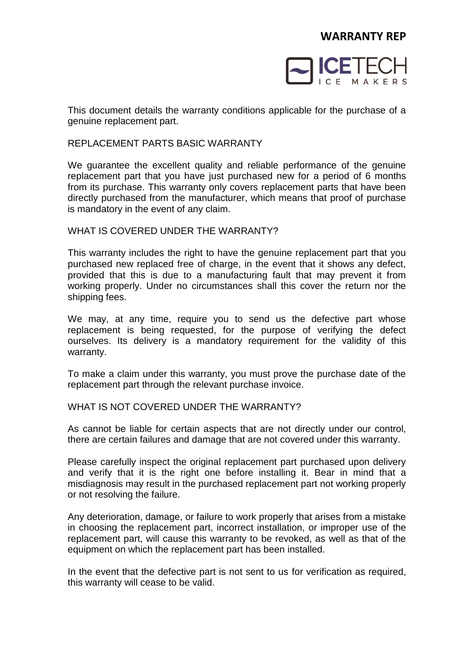

This document details the warranty conditions applicable for the purchase of a genuine replacement part.

### REPLACEMENT PARTS BASIC WARRANTY

We guarantee the excellent quality and reliable performance of the genuine replacement part that you have just purchased new for a period of 6 months from its purchase. This warranty only covers replacement parts that have been directly purchased from the manufacturer, which means that proof of purchase is mandatory in the event of any claim.

# WHAT IS COVERED UNDER THE WARRANTY?

This warranty includes the right to have the genuine replacement part that you purchased new replaced free of charge, in the event that it shows any defect, provided that this is due to a manufacturing fault that may prevent it from working properly. Under no circumstances shall this cover the return nor the shipping fees.

We may, at any time, require you to send us the defective part whose replacement is being requested, for the purpose of verifying the defect ourselves. Its delivery is a mandatory requirement for the validity of this warranty.

To make a claim under this warranty, you must prove the purchase date of the replacement part through the relevant purchase invoice.

## WHAT IS NOT COVERED UNDER THE WARRANTY?

As cannot be liable for certain aspects that are not directly under our control, there are certain failures and damage that are not covered under this warranty.

Please carefully inspect the original replacement part purchased upon delivery and verify that it is the right one before installing it. Bear in mind that a misdiagnosis may result in the purchased replacement part not working properly or not resolving the failure.

Any deterioration, damage, or failure to work properly that arises from a mistake in choosing the replacement part, incorrect installation, or improper use of the replacement part, will cause this warranty to be revoked, as well as that of the equipment on which the replacement part has been installed.

In the event that the defective part is not sent to us for verification as required, this warranty will cease to be valid.